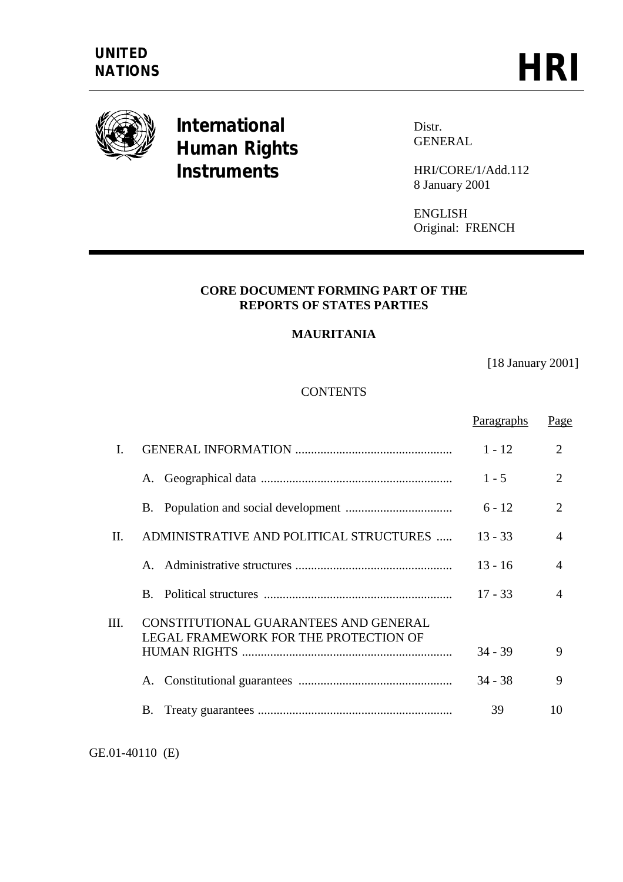

# **International Human Rights Instruments**

Distr. GENERAL

HRI/CORE/1/Add.112 8 January 2001

ENGLISH Original: FRENCH

#### **CORE DOCUMENT FORMING PART OF THE REPORTS OF STATES PARTIES**

## **MAURITANIA**

[18 January 2001]

## **CONTENTS**

|      |                                                                                | Paragraphs | Page                  |
|------|--------------------------------------------------------------------------------|------------|-----------------------|
| I.   |                                                                                | $1 - 12$   | $\overline{2}$        |
|      | A.                                                                             | $1 - 5$    | $\mathcal{D}_{\cdot}$ |
|      |                                                                                | $6 - 12$   | $\overline{2}$        |
| II.  | ADMINISTRATIVE AND POLITICAL STRUCTURES                                        | $13 - 33$  | $\overline{A}$        |
|      |                                                                                | $13 - 16$  | $\overline{A}$        |
|      |                                                                                | $17 - 33$  | $\overline{4}$        |
| III. | CONSTITUTIONAL GUARANTEES AND GENERAL<br>LEGAL FRAMEWORK FOR THE PROTECTION OF |            |                       |
|      |                                                                                | $34 - 39$  | 9                     |
|      | A.                                                                             | $34 - 38$  | 9                     |
|      | В.                                                                             | 39         | 10                    |

GE.01-40110 (E)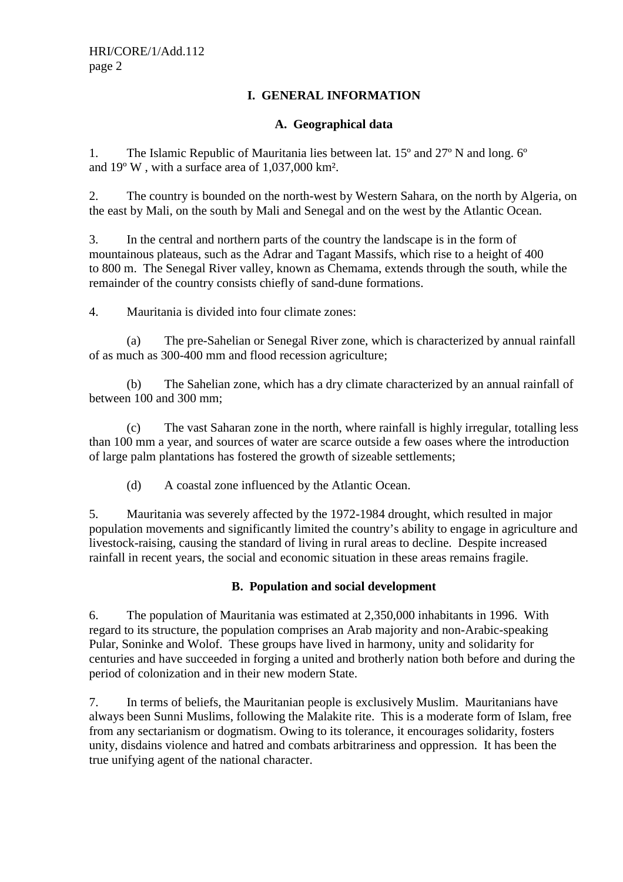## **I. GENERAL INFORMATION**

## **A. Geographical data**

1. The Islamic Republic of Mauritania lies between lat. 15º and 27º N and long. 6º and 19º W , with a surface area of 1,037,000 km².

2. The country is bounded on the north-west by Western Sahara, on the north by Algeria, on the east by Mali, on the south by Mali and Senegal and on the west by the Atlantic Ocean.

3. In the central and northern parts of the country the landscape is in the form of mountainous plateaus, such as the Adrar and Tagant Massifs, which rise to a height of 400 to 800 m. The Senegal River valley, known as Chemama, extends through the south, while the remainder of the country consists chiefly of sand-dune formations.

4. Mauritania is divided into four climate zones:

 (a) The pre-Sahelian or Senegal River zone, which is characterized by annual rainfall of as much as 300-400 mm and flood recession agriculture;

 (b) The Sahelian zone, which has a dry climate characterized by an annual rainfall of between 100 and 300 mm;

 (c) The vast Saharan zone in the north, where rainfall is highly irregular, totalling less than 100 mm a year, and sources of water are scarce outside a few oases where the introduction of large palm plantations has fostered the growth of sizeable settlements;

(d) A coastal zone influenced by the Atlantic Ocean.

5. Mauritania was severely affected by the 1972-1984 drought, which resulted in major population movements and significantly limited the country's ability to engage in agriculture and livestock-raising, causing the standard of living in rural areas to decline. Despite increased rainfall in recent years, the social and economic situation in these areas remains fragile.

### **B. Population and social development**

6. The population of Mauritania was estimated at 2,350,000 inhabitants in 1996. With regard to its structure, the population comprises an Arab majority and non-Arabic-speaking Pular, Soninke and Wolof. These groups have lived in harmony, unity and solidarity for centuries and have succeeded in forging a united and brotherly nation both before and during the period of colonization and in their new modern State.

7. In terms of beliefs, the Mauritanian people is exclusively Muslim. Mauritanians have always been Sunni Muslims, following the Malakite rite. This is a moderate form of Islam, free from any sectarianism or dogmatism. Owing to its tolerance, it encourages solidarity, fosters unity, disdains violence and hatred and combats arbitrariness and oppression. It has been the true unifying agent of the national character.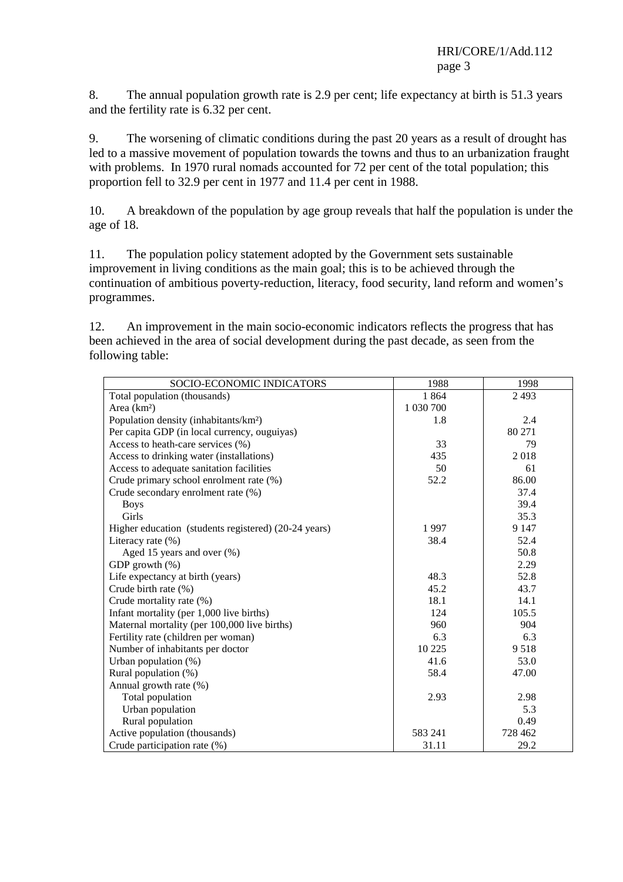8. The annual population growth rate is 2.9 per cent; life expectancy at birth is 51.3 years and the fertility rate is 6.32 per cent.

9. The worsening of climatic conditions during the past 20 years as a result of drought has led to a massive movement of population towards the towns and thus to an urbanization fraught with problems. In 1970 rural nomads accounted for 72 per cent of the total population; this proportion fell to 32.9 per cent in 1977 and 11.4 per cent in 1988.

10. A breakdown of the population by age group reveals that half the population is under the age of 18.

11. The population policy statement adopted by the Government sets sustainable improvement in living conditions as the main goal; this is to be achieved through the continuation of ambitious poverty-reduction, literacy, food security, land reform and women's programmes.

12. An improvement in the main socio-economic indicators reflects the progress that has been achieved in the area of social development during the past decade, as seen from the following table:

| SOCIO-ECONOMIC INDICATORS                            | 1988      | 1998    |
|------------------------------------------------------|-----------|---------|
| Total population (thousands)                         | 1864      | 2 4 9 3 |
| Area (km <sup>2</sup> )                              | 1 030 700 |         |
| Population density (inhabitants/km <sup>2</sup> )    | 1.8       | 2.4     |
| Per capita GDP (in local currency, ouguiyas)         |           | 80 271  |
| Access to heath-care services (%)                    | 33        | 79      |
| Access to drinking water (installations)             | 435       | 2018    |
| Access to adequate sanitation facilities             | 50        | 61      |
| Crude primary school enrolment rate (%)              | 52.2      | 86.00   |
| Crude secondary enrolment rate (%)                   |           | 37.4    |
| <b>Boys</b>                                          |           | 39.4    |
| Girls                                                |           | 35.3    |
| Higher education (students registered) (20-24 years) | 1997      | 9 1 4 7 |
| Literacy rate $(\%)$                                 | 38.4      | 52.4    |
| Aged 15 years and over (%)                           |           | 50.8    |
| GDP growth (%)                                       |           | 2.29    |
| Life expectancy at birth (years)                     | 48.3      | 52.8    |
| Crude birth rate (%)                                 | 45.2      | 43.7    |
| Crude mortality rate (%)                             | 18.1      | 14.1    |
| Infant mortality (per 1,000 live births)             | 124       | 105.5   |
| Maternal mortality (per 100,000 live births)         | 960       | 904     |
| Fertility rate (children per woman)                  | 6.3       | 6.3     |
| Number of inhabitants per doctor                     | 10 2 25   | 9518    |
| Urban population $(\%)$                              | 41.6      | 53.0    |
| Rural population (%)                                 | 58.4      | 47.00   |
| Annual growth rate (%)                               |           |         |
| Total population                                     | 2.93      | 2.98    |
| Urban population                                     |           | 5.3     |
| Rural population                                     |           | 0.49    |
| Active population (thousands)                        | 583 241   | 728 462 |
| Crude participation rate (%)                         | 31.11     | 29.2    |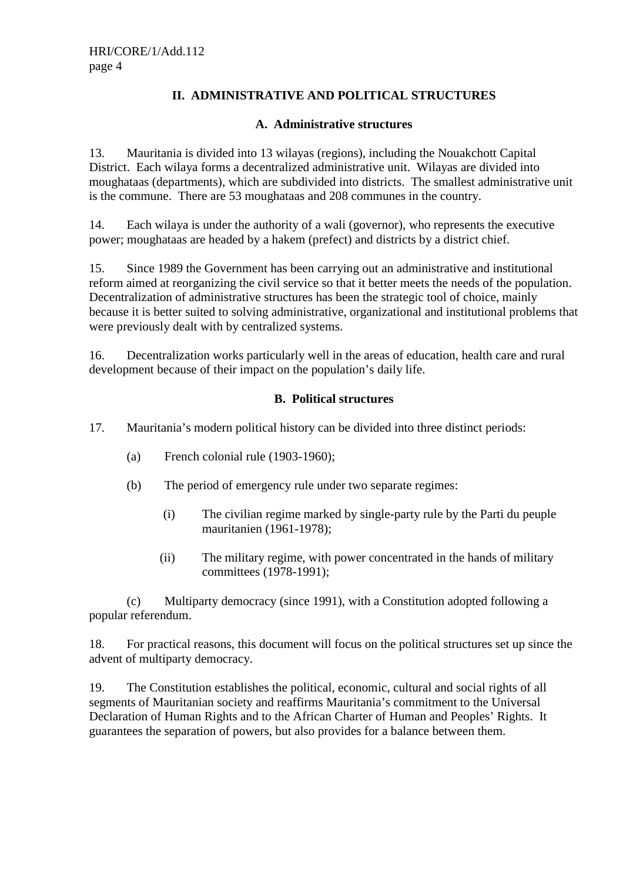# **II. ADMINISTRATIVE AND POLITICAL STRUCTURES**

### **A. Administrative structures**

13. Mauritania is divided into 13 wilayas (regions), including the Nouakchott Capital District. Each wilaya forms a decentralized administrative unit. Wilayas are divided into moughataas (departments), which are subdivided into districts. The smallest administrative unit is the commune. There are 53 moughataas and 208 communes in the country.

14. Each wilaya is under the authority of a wali (governor), who represents the executive power; moughataas are headed by a hakem (prefect) and districts by a district chief.

15. Since 1989 the Government has been carrying out an administrative and institutional reform aimed at reorganizing the civil service so that it better meets the needs of the population. Decentralization of administrative structures has been the strategic tool of choice, mainly because it is better suited to solving administrative, organizational and institutional problems that were previously dealt with by centralized systems.

16. Decentralization works particularly well in the areas of education, health care and rural development because of their impact on the population's daily life.

### **B. Political structures**

- 17. Mauritania's modern political history can be divided into three distinct periods:
	- (a) French colonial rule (1903-1960);
	- (b) The period of emergency rule under two separate regimes:
		- (i) The civilian regime marked by single-party rule by the Parti du peuple mauritanien (1961-1978);
		- (ii) The military regime, with power concentrated in the hands of military committees (1978-1991);

 (c) Multiparty democracy (since 1991), with a Constitution adopted following a popular referendum.

18. For practical reasons, this document will focus on the political structures set up since the advent of multiparty democracy.

19. The Constitution establishes the political, economic, cultural and social rights of all segments of Mauritanian society and reaffirms Mauritania's commitment to the Universal Declaration of Human Rights and to the African Charter of Human and Peoples' Rights. It guarantees the separation of powers, but also provides for a balance between them.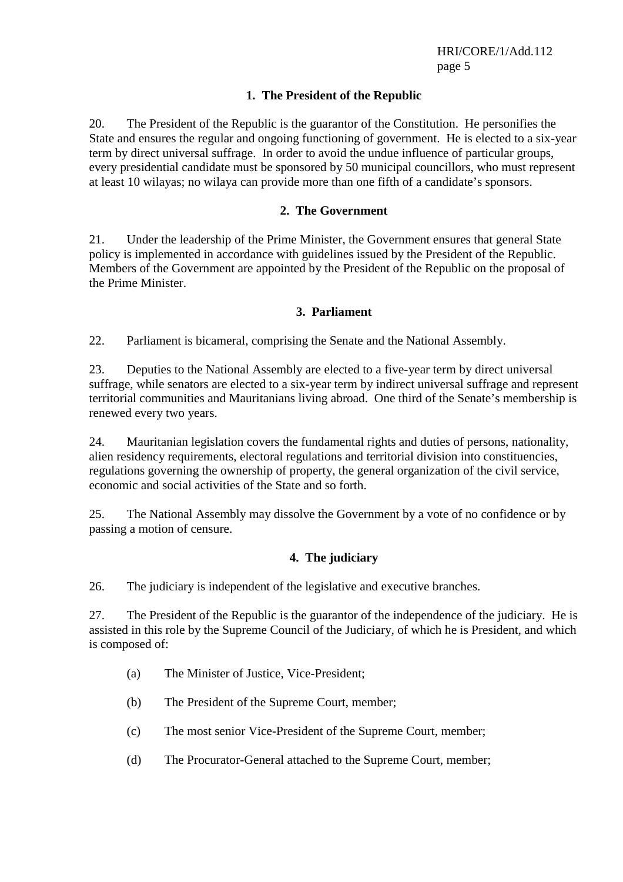## **1. The President of the Republic**

20. The President of the Republic is the guarantor of the Constitution. He personifies the State and ensures the regular and ongoing functioning of government. He is elected to a six-year term by direct universal suffrage. In order to avoid the undue influence of particular groups, every presidential candidate must be sponsored by 50 municipal councillors, who must represent at least 10 wilayas; no wilaya can provide more than one fifth of a candidate's sponsors.

### **2. The Government**

21. Under the leadership of the Prime Minister, the Government ensures that general State policy is implemented in accordance with guidelines issued by the President of the Republic. Members of the Government are appointed by the President of the Republic on the proposal of the Prime Minister.

### **3. Parliament**

22. Parliament is bicameral, comprising the Senate and the National Assembly.

23. Deputies to the National Assembly are elected to a five-year term by direct universal suffrage, while senators are elected to a six-year term by indirect universal suffrage and represent territorial communities and Mauritanians living abroad. One third of the Senate's membership is renewed every two years.

24. Mauritanian legislation covers the fundamental rights and duties of persons, nationality, alien residency requirements, electoral regulations and territorial division into constituencies, regulations governing the ownership of property, the general organization of the civil service, economic and social activities of the State and so forth.

25. The National Assembly may dissolve the Government by a vote of no confidence or by passing a motion of censure.

# **4. The judiciary**

26. The judiciary is independent of the legislative and executive branches.

27. The President of the Republic is the guarantor of the independence of the judiciary. He is assisted in this role by the Supreme Council of the Judiciary, of which he is President, and which is composed of:

- (a) The Minister of Justice, Vice-President;
- (b) The President of the Supreme Court, member;
- (c) The most senior Vice-President of the Supreme Court, member;
- (d) The Procurator-General attached to the Supreme Court, member;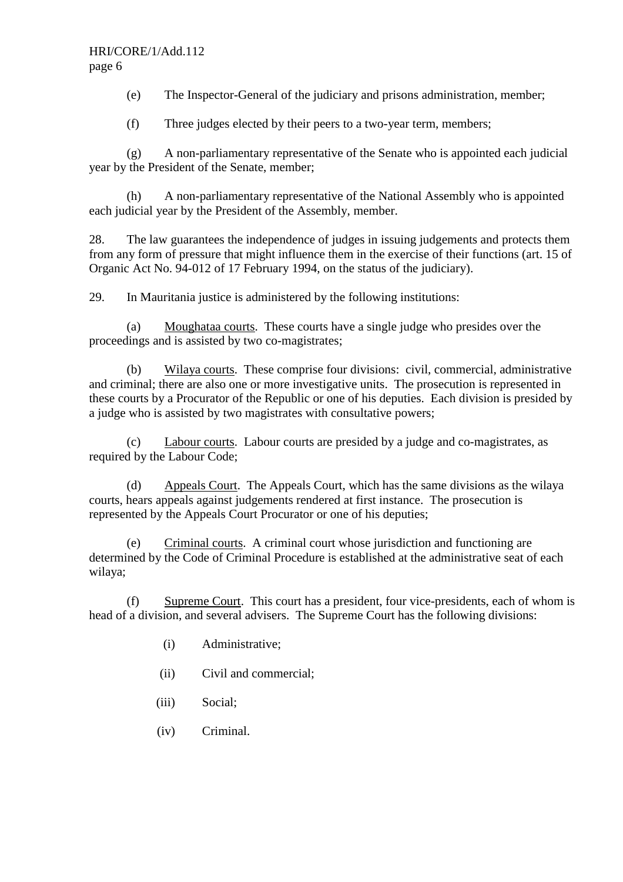(e) The Inspector-General of the judiciary and prisons administration, member;

(f) Three judges elected by their peers to a two-year term, members;

 (g) A non-parliamentary representative of the Senate who is appointed each judicial year by the President of the Senate, member;

 (h) A non-parliamentary representative of the National Assembly who is appointed each judicial year by the President of the Assembly, member.

28. The law guarantees the independence of judges in issuing judgements and protects them from any form of pressure that might influence them in the exercise of their functions (art. 15 of Organic Act No. 94-012 of 17 February 1994, on the status of the judiciary).

29. In Mauritania justice is administered by the following institutions:

 (a) Moughataa courts. These courts have a single judge who presides over the proceedings and is assisted by two co-magistrates;

 (b) Wilaya courts. These comprise four divisions: civil, commercial, administrative and criminal; there are also one or more investigative units. The prosecution is represented in these courts by a Procurator of the Republic or one of his deputies. Each division is presided by a judge who is assisted by two magistrates with consultative powers;

 (c) Labour courts. Labour courts are presided by a judge and co-magistrates, as required by the Labour Code;

 (d) Appeals Court. The Appeals Court, which has the same divisions as the wilaya courts, hears appeals against judgements rendered at first instance. The prosecution is represented by the Appeals Court Procurator or one of his deputies;

 (e) Criminal courts. A criminal court whose jurisdiction and functioning are determined by the Code of Criminal Procedure is established at the administrative seat of each wilaya;

 (f) Supreme Court. This court has a president, four vice-presidents, each of whom is head of a division, and several advisers. The Supreme Court has the following divisions:

- (i) Administrative;
- (ii) Civil and commercial;
- (iii) Social;
- (iv) Criminal.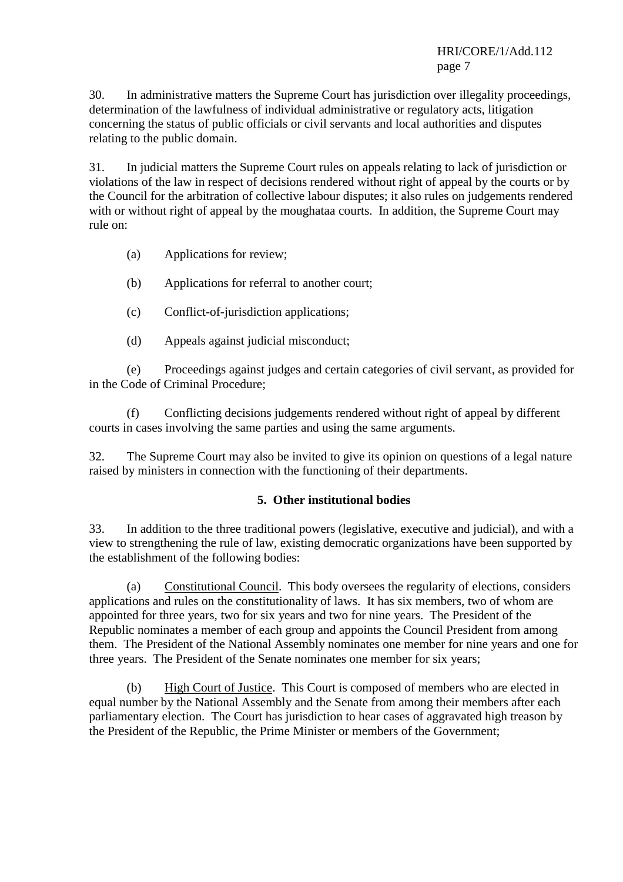30. In administrative matters the Supreme Court has jurisdiction over illegality proceedings, determination of the lawfulness of individual administrative or regulatory acts, litigation concerning the status of public officials or civil servants and local authorities and disputes relating to the public domain.

31. In judicial matters the Supreme Court rules on appeals relating to lack of jurisdiction or violations of the law in respect of decisions rendered without right of appeal by the courts or by the Council for the arbitration of collective labour disputes; it also rules on judgements rendered with or without right of appeal by the moughataa courts. In addition, the Supreme Court may rule on:

- (a) Applications for review;
- (b) Applications for referral to another court;
- (c) Conflict-of-jurisdiction applications;
- (d) Appeals against judicial misconduct;

 (e) Proceedings against judges and certain categories of civil servant, as provided for in the Code of Criminal Procedure;

 (f) Conflicting decisions judgements rendered without right of appeal by different courts in cases involving the same parties and using the same arguments.

32. The Supreme Court may also be invited to give its opinion on questions of a legal nature raised by ministers in connection with the functioning of their departments.

### **5. Other institutional bodies**

33. In addition to the three traditional powers (legislative, executive and judicial), and with a view to strengthening the rule of law, existing democratic organizations have been supported by the establishment of the following bodies:

 (a) Constitutional Council. This body oversees the regularity of elections, considers applications and rules on the constitutionality of laws. It has six members, two of whom are appointed for three years, two for six years and two for nine years. The President of the Republic nominates a member of each group and appoints the Council President from among them. The President of the National Assembly nominates one member for nine years and one for three years. The President of the Senate nominates one member for six years;

 (b) High Court of Justice. This Court is composed of members who are elected in equal number by the National Assembly and the Senate from among their members after each parliamentary election. The Court has jurisdiction to hear cases of aggravated high treason by the President of the Republic, the Prime Minister or members of the Government;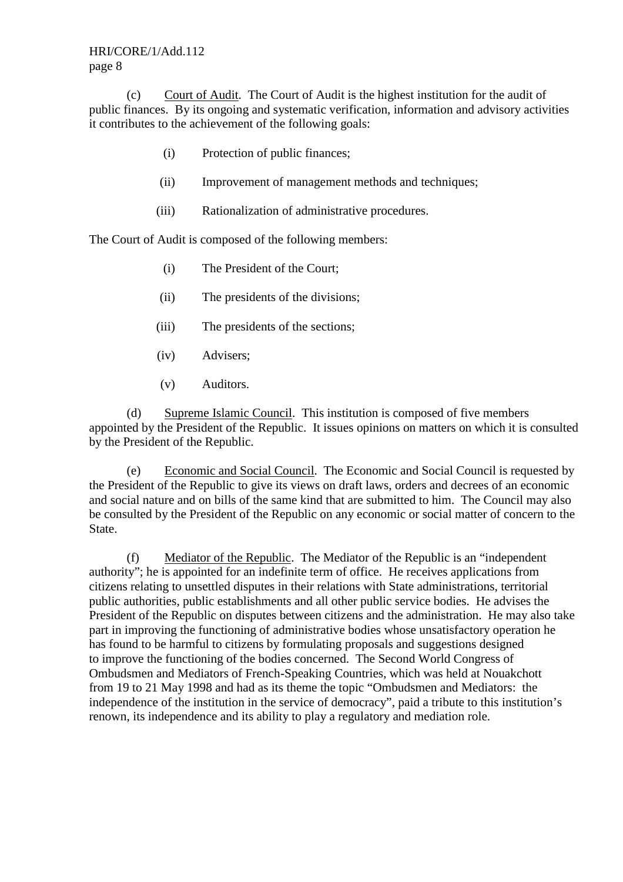HRI/CORE/1/Add.112 page 8

 (c) Court of Audit. The Court of Audit is the highest institution for the audit of public finances. By its ongoing and systematic verification, information and advisory activities it contributes to the achievement of the following goals:

- (i) Protection of public finances;
- (ii) Improvement of management methods and techniques;
- (iii) Rationalization of administrative procedures.

The Court of Audit is composed of the following members:

- (i) The President of the Court;
- (ii) The presidents of the divisions;
- (iii) The presidents of the sections;
- (iv) Advisers;
- (v) Auditors.

 (d) Supreme Islamic Council. This institution is composed of five members appointed by the President of the Republic. It issues opinions on matters on which it is consulted by the President of the Republic.

 (e) Economic and Social Council. The Economic and Social Council is requested by the President of the Republic to give its views on draft laws, orders and decrees of an economic and social nature and on bills of the same kind that are submitted to him. The Council may also be consulted by the President of the Republic on any economic or social matter of concern to the State.

 (f) Mediator of the Republic. The Mediator of the Republic is an "independent authority"; he is appointed for an indefinite term of office. He receives applications from citizens relating to unsettled disputes in their relations with State administrations, territorial public authorities, public establishments and all other public service bodies. He advises the President of the Republic on disputes between citizens and the administration. He may also take part in improving the functioning of administrative bodies whose unsatisfactory operation he has found to be harmful to citizens by formulating proposals and suggestions designed to improve the functioning of the bodies concerned. The Second World Congress of Ombudsmen and Mediators of French-Speaking Countries, which was held at Nouakchott from 19 to 21 May 1998 and had as its theme the topic "Ombudsmen and Mediators: the independence of the institution in the service of democracy", paid a tribute to this institution's renown, its independence and its ability to play a regulatory and mediation role.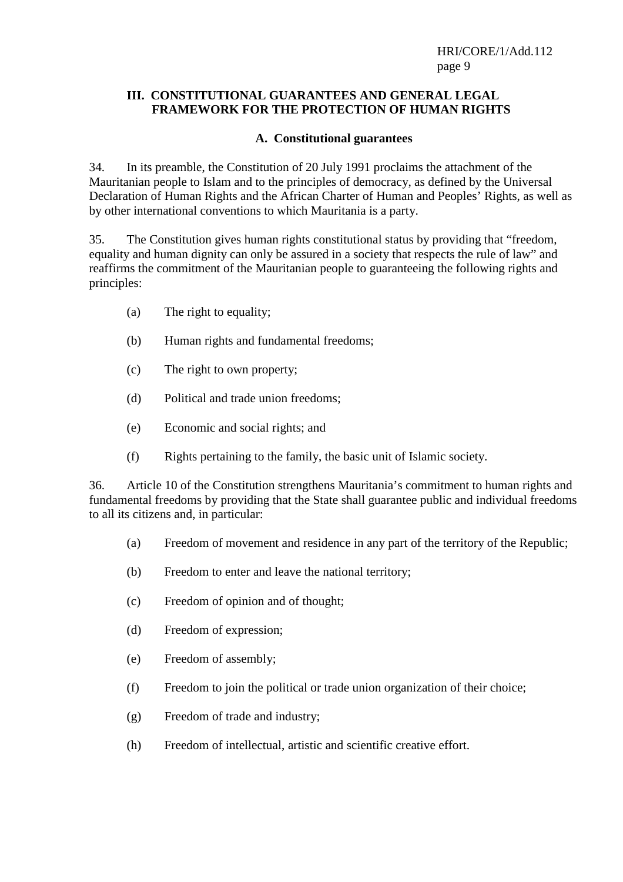#### **III. CONSTITUTIONAL GUARANTEES AND GENERAL LEGAL FRAMEWORK FOR THE PROTECTION OF HUMAN RIGHTS**

## **A. Constitutional guarantees**

34. In its preamble, the Constitution of 20 July 1991 proclaims the attachment of the Mauritanian people to Islam and to the principles of democracy, as defined by the Universal Declaration of Human Rights and the African Charter of Human and Peoples' Rights, as well as by other international conventions to which Mauritania is a party.

35. The Constitution gives human rights constitutional status by providing that "freedom, equality and human dignity can only be assured in a society that respects the rule of law" and reaffirms the commitment of the Mauritanian people to guaranteeing the following rights and principles:

- (a) The right to equality;
- (b) Human rights and fundamental freedoms;
- (c) The right to own property;
- (d) Political and trade union freedoms;
- (e) Economic and social rights; and
- (f) Rights pertaining to the family, the basic unit of Islamic society.

36. Article 10 of the Constitution strengthens Mauritania's commitment to human rights and fundamental freedoms by providing that the State shall guarantee public and individual freedoms to all its citizens and, in particular:

- (a) Freedom of movement and residence in any part of the territory of the Republic;
- (b) Freedom to enter and leave the national territory;
- (c) Freedom of opinion and of thought;
- (d) Freedom of expression;
- (e) Freedom of assembly;
- (f) Freedom to join the political or trade union organization of their choice;
- (g) Freedom of trade and industry;
- (h) Freedom of intellectual, artistic and scientific creative effort.